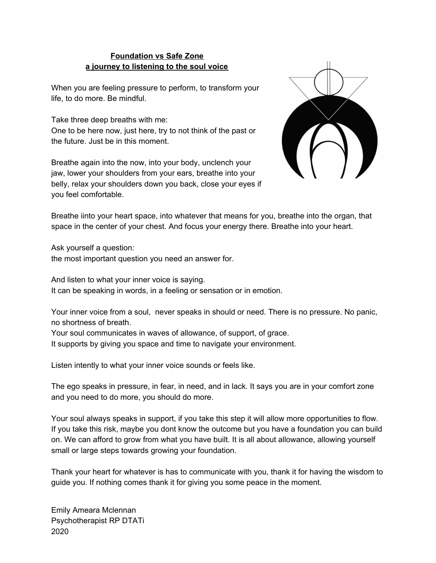## **Foundation vs Safe Zone a journey to listening to the soul voice**

When you are feeling pressure to perform, to transform your life, to do more. Be mindful.

Take three deep breaths with me: One to be here now, just here, try to not think of the past or the future. Just be in this moment.

Breathe again into the now, into your body, unclench your jaw, lower your shoulders from your ears, breathe into your belly, relax your shoulders down you back, close your eyes if you feel comfortable.



Breathe iinto your heart space, into whatever that means for you, breathe into the organ, that space in the center of your chest. And focus your energy there. Breathe into your heart.

Ask yourself a question: the most important question you need an answer for.

And listen to what your inner voice is saying. It can be speaking in words, in a feeling or sensation or in emotion.

Your inner voice from a soul, never speaks in should or need. There is no pressure. No panic, no shortness of breath.

Your soul communicates in waves of allowance, of support, of grace.

It supports by giving you space and time to navigate your environment.

Listen intently to what your inner voice sounds or feels like.

The ego speaks in pressure, in fear, in need, and in lack. It says you are in your comfort zone and you need to do more, you should do more.

Your soul always speaks in support, if you take this step it will allow more opportunities to flow. If you take this risk, maybe you dont know the outcome but you have a foundation you can build on. We can afford to grow from what you have built. It is all about allowance, allowing yourself small or large steps towards growing your foundation.

Thank your heart for whatever is has to communicate with you, thank it for having the wisdom to guide you. If nothing comes thank it for giving you some peace in the moment.

Emily Ameara Mclennan Psychotherapist RP DTATi 2020